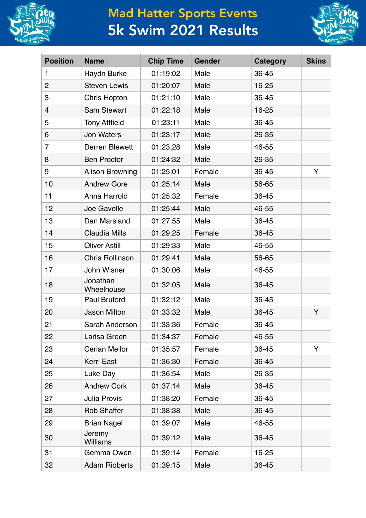

## Mad Hatter Sports Events 5k Swim 2021 Results



| <b>Position</b> | <b>Name</b>            | <b>Chip Time</b> | <b>Gender</b> | <b>Category</b> | <b>Skins</b> |
|-----------------|------------------------|------------------|---------------|-----------------|--------------|
| $\mathbf{1}$    | Haydn Burke            | 01:19:02         | Male          | 36-45           |              |
| $\overline{2}$  | <b>Steven Lewis</b>    | 01:20:07         | Male          | 16-25           |              |
| 3               | Chris Hopton           | 01:21:10         | Male          | 36-45           |              |
| 4               | <b>Sam Stewart</b>     | 01:22:18         | Male          | 16-25           |              |
| 5               | <b>Tony Attfield</b>   | 01:23:11         | Male          | 36-45           |              |
| 6               | <b>Jon Waters</b>      | 01:23:17         | Male          | 26-35           |              |
| $\overline{7}$  | Derren Blewett         | 01:23:28         | Male          | 46-55           |              |
| 8               | <b>Ben Proctor</b>     | 01:24:32         | Male          | 26-35           |              |
| 9               | <b>Alison Browning</b> | 01:25:01         | Female        | 36-45           | Y            |
| 10              | <b>Andrew Gore</b>     | 01:25:14         | Male          | 56-65           |              |
| 11              | Anna Harrold           | 01:25:32         | Female        | 36-45           |              |
| 12              | Joe Gavelle            | 01:25:44         | Male          | 46-55           |              |
| 13              | Dan Marsland           | 01:27:55         | Male          | 36-45           |              |
| 14              | <b>Claudia Mills</b>   | 01:29:25         | Female        | 36-45           |              |
| 15              | <b>Oliver Astill</b>   | 01:29:33         | Male          | 46-55           |              |
| 16              | <b>Chris Rollinson</b> | 01:29:41         | Male          | 56-65           |              |
| 17              | John Wisner            | 01:30:06         | Male          | 46-55           |              |
| 18              | Jonathan<br>Wheelhouse | 01:32:05         | Male          | 36-45           |              |
| 19              | Paul Bruford           | 01:32:12         | Male          | 36-45           |              |
| 20              | <b>Jason Milton</b>    | 01:33:32         | Male          | 36-45           | Y            |
| 21              | Sarah Anderson         | 01:33:36         | Female        | 36-45           |              |
| 22              | Larisa Green           | 01:34:37         | Female        | 46-55           |              |
| 23              | <b>Cerian Mellor</b>   | 01:35:57         | Female        | 36-45           | Y            |
| 24              | Kerri East             | 01:36:30         | Female        | 36-45           |              |
| 25              | Luke Day               | 01:36:54         | Male          | 26-35           |              |
| 26              | <b>Andrew Cork</b>     | 01:37:14         | Male          | 36-45           |              |
| 27              | <b>Julia Provis</b>    | 01:38:20         | Female        | 36-45           |              |
| 28              | <b>Rob Shaffer</b>     | 01:38:38         | Male          | 36-45           |              |
| 29              | <b>Brian Nagel</b>     | 01:39:07         | Male          | 46-55           |              |
| 30              | Jeremy<br>Williams     | 01:39:12         | Male          | 36-45           |              |
| 31              | Gemma Owen             | 01:39:14         | Female        | 16-25           |              |
| 32              | <b>Adam Rioberts</b>   | 01:39:15         | Male          | 36-45           |              |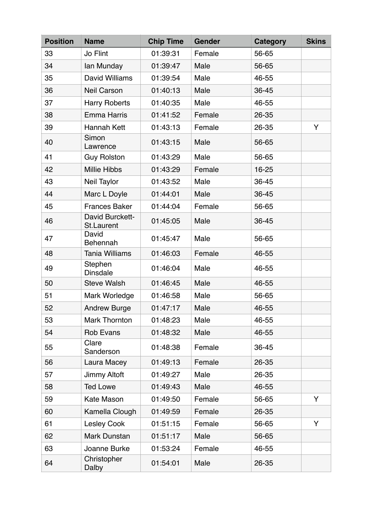| <b>Position</b> | <b>Name</b>                          | <b>Chip Time</b> | <b>Gender</b> | <b>Category</b> | <b>Skins</b> |
|-----------------|--------------------------------------|------------------|---------------|-----------------|--------------|
| 33              | Jo Flint                             | 01:39:31         | Female        | 56-65           |              |
| 34              | lan Munday                           | 01:39:47         | Male          | 56-65           |              |
| 35              | David Williams                       | 01:39:54         | Male          | 46-55           |              |
| 36              | <b>Neil Carson</b>                   | 01:40:13         | Male          | 36-45           |              |
| 37              | <b>Harry Roberts</b>                 | 01:40:35         | Male          | 46-55           |              |
| 38              | <b>Emma Harris</b>                   | 01:41:52         | Female        | 26-35           |              |
| 39              | Hannah Kett                          | 01:43:13         | Female        | 26-35           | Y            |
| 40              | Simon<br>Lawrence                    | 01:43:15         | Male          | 56-65           |              |
| 41              | <b>Guy Rolston</b>                   | 01:43:29         | Male          | 56-65           |              |
| 42              | <b>Millie Hibbs</b>                  | 01:43:29         | Female        | 16-25           |              |
| 43              | Neil Taylor                          | 01:43:52         | Male          | 36-45           |              |
| 44              | Marc L Doyle                         | 01:44:01         | Male          | 36-45           |              |
| 45              | <b>Frances Baker</b>                 | 01:44:04         | Female        | 56-65           |              |
| 46              | David Burckett-<br><b>St.Laurent</b> | 01:45:05         | Male          | 36-45           |              |
| 47              | David<br>Behennah                    | 01:45:47         | Male          | 56-65           |              |
| 48              | <b>Tania Williams</b>                | 01:46:03         | Female        | 46-55           |              |
| 49              | Stephen<br><b>Dinsdale</b>           | 01:46:04         | Male          | 46-55           |              |
| 50              | <b>Steve Walsh</b>                   | 01:46:45         | Male          | 46-55           |              |
| 51              | Mark Worledge                        | 01:46:58         | Male          | 56-65           |              |
| 52              | <b>Andrew Burge</b>                  | 01:47:17         | Male          | 46-55           |              |
| 53              | <b>Mark Thornton</b>                 | 01:48:23         | Male          | 46-55           |              |
| 54              | <b>Rob Evans</b>                     | 01:48:32         | Male          | 46-55           |              |
| 55              | Clare<br>Sanderson                   | 01:48:38         | Female        | 36-45           |              |
| 56              | Laura Macey                          | 01:49:13         | Female        | 26-35           |              |
| 57              | Jimmy Altoft                         | 01:49:27         | Male          | 26-35           |              |
| 58              | <b>Ted Lowe</b>                      | 01:49:43         | Male          | 46-55           |              |
| 59              | <b>Kate Mason</b>                    | 01:49:50         | Female        | 56-65           | Y            |
| 60              | Kamella Clough                       | 01:49:59         | Female        | 26-35           |              |
| 61              | <b>Lesley Cook</b>                   | 01:51:15         | Female        | 56-65           | Y            |
| 62              | Mark Dunstan                         | 01:51:17         | Male          | 56-65           |              |
| 63              | Joanne Burke                         | 01:53:24         | Female        | 46-55           |              |
| 64              | Christopher<br>Dalby                 | 01:54:01         | Male          | 26-35           |              |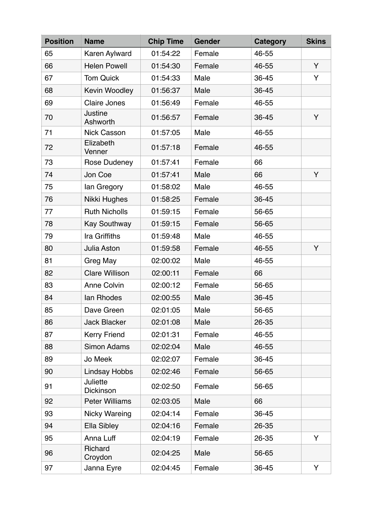| <b>Position</b> | <b>Name</b>           | <b>Chip Time</b> | <b>Gender</b> | <b>Category</b> | <b>Skins</b> |
|-----------------|-----------------------|------------------|---------------|-----------------|--------------|
| 65              | Karen Aylward         | 01:54:22         | Female        | 46-55           |              |
| 66              | <b>Helen Powell</b>   | 01:54:30         | Female        | 46-55           | Y            |
| 67              | <b>Tom Quick</b>      | 01:54:33         | Male          | 36-45           | Y            |
| 68              | Kevin Woodley         | 01:56:37         | Male          | 36-45           |              |
| 69              | <b>Claire Jones</b>   | 01:56:49         | Female        | 46-55           |              |
| 70              | Justine<br>Ashworth   | 01:56:57         | Female        | 36-45           | Y            |
| 71              | <b>Nick Casson</b>    | 01:57:05         | Male          | 46-55           |              |
| 72              | Elizabeth<br>Venner   | 01:57:18         | Female        | 46-55           |              |
| 73              | <b>Rose Dudeney</b>   | 01:57:41         | Female        | 66              |              |
| 74              | Jon Coe               | 01:57:41         | Male          | 66              | Y            |
| 75              | lan Gregory           | 01:58:02         | Male          | 46-55           |              |
| 76              | Nikki Hughes          | 01:58:25         | Female        | 36-45           |              |
| 77              | <b>Ruth Nicholls</b>  | 01:59:15         | Female        | 56-65           |              |
| 78              | <b>Kay Southway</b>   | 01:59:15         | Female        | 56-65           |              |
| 79              | Ira Griffiths         | 01:59:48         | Male          | 46-55           |              |
| 80              | Julia Aston           | 01:59:58         | Female        | 46-55           | Y            |
| 81              | Greg May              | 02:00:02         | Male          | 46-55           |              |
| 82              | <b>Clare Willison</b> | 02:00:11         | Female        | 66              |              |
| 83              | <b>Anne Colvin</b>    | 02:00:12         | Female        | 56-65           |              |
| 84              | lan Rhodes            | 02:00:55         | Male          | 36-45           |              |
| 85              | Dave Green            | 02:01:05         | Male          | 56-65           |              |
| 86              | <b>Jack Blacker</b>   | 02:01:08         | Male          | 26-35           |              |
| 87              | <b>Kerry Friend</b>   | 02:01:31         | Female        | 46-55           |              |
| 88              | <b>Simon Adams</b>    | 02:02:04         | Male          | 46-55           |              |
| 89              | Jo Meek               | 02:02:07         | Female        | 36-45           |              |
| 90              | <b>Lindsay Hobbs</b>  | 02:02:46         | Female        | 56-65           |              |
| 91              | Juliette<br>Dickinson | 02:02:50         | Female        | 56-65           |              |
| 92              | <b>Peter Williams</b> | 02:03:05         | Male          | 66              |              |
| 93              | <b>Nicky Wareing</b>  | 02:04:14         | Female        | 36-45           |              |
| 94              | Ella Sibley           | 02:04:16         | Female        | 26-35           |              |
| 95              | Anna Luff             | 02:04:19         | Female        | 26-35           | Y            |
| 96              | Richard<br>Croydon    | 02:04:25         | Male          | 56-65           |              |
| 97              | Janna Eyre            | 02:04:45         | Female        | 36-45           | Y            |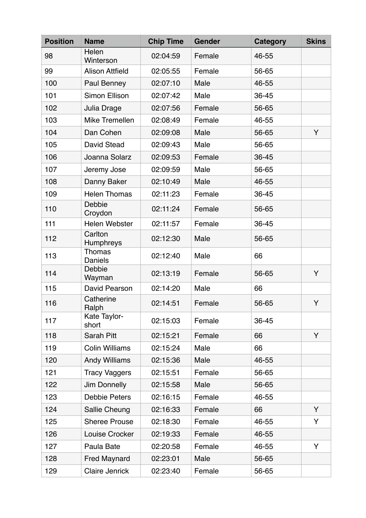| <b>Position</b> | <b>Name</b>              | <b>Chip Time</b> | Gender | <b>Category</b> | <b>Skins</b> |
|-----------------|--------------------------|------------------|--------|-----------------|--------------|
| 98              | Helen<br>Winterson       | 02:04:59         | Female | 46-55           |              |
| 99              | <b>Alison Attfield</b>   | 02:05:55         | Female | 56-65           |              |
| 100             | Paul Benney              | 02:07:10         | Male   | 46-55           |              |
| 101             | <b>Simon Ellison</b>     | 02:07:42         | Male   | 36-45           |              |
| 102             | Julia Drage              | 02:07:56         | Female | 56-65           |              |
| 103             | Mike Tremellen           | 02:08:49         | Female | 46-55           |              |
| 104             | Dan Cohen                | 02:09:08         | Male   | 56-65           | Y            |
| 105             | <b>David Stead</b>       | 02:09:43         | Male   | 56-65           |              |
| 106             | Joanna Solarz            | 02:09:53         | Female | 36-45           |              |
| 107             | Jeremy Jose              | 02:09:59         | Male   | 56-65           |              |
| 108             | Danny Baker              | 02:10:49         | Male   | 46-55           |              |
| 109             | <b>Helen Thomas</b>      | 02:11:23         | Female | 36-45           |              |
| 110             | Debbie<br>Croydon        | 02:11:24         | Female | 56-65           |              |
| 111             | Helen Webster            | 02:11:57         | Female | 36-45           |              |
| 112             | Carlton<br>Humphreys     | 02:12:30         | Male   | 56-65           |              |
| 113             | <b>Thomas</b><br>Daniels | 02:12:40         | Male   | 66              |              |
| 114             | Debbie<br>Wayman         | 02:13:19         | Female | 56-65           | Y            |
| 115             | David Pearson            | 02:14:20         | Male   | 66              |              |
| 116             | Catherine<br>Ralph       | 02:14:51         | Female | 56-65           | Y            |
| 117             | Kate Taylor-<br>short    | 02:15:03         | Female | 36-45           |              |
| 118             | Sarah Pitt               | 02:15:21         | Female | 66              | Y            |
| 119             | <b>Colin Williams</b>    | 02:15:24         | Male   | 66              |              |
| 120             | <b>Andy Williams</b>     | 02:15:36         | Male   | 46-55           |              |
| 121             | <b>Tracy Vaggers</b>     | 02:15:51         | Female | 56-65           |              |
| 122             | Jim Donnelly             | 02:15:58         | Male   | 56-65           |              |
| 123             | <b>Debbie Peters</b>     | 02:16:15         | Female | 46-55           |              |
| 124             | Sallie Cheung            | 02:16:33         | Female | 66              | Y            |
| 125             | <b>Sheree Prouse</b>     | 02:18:30         | Female | 46-55           | Y            |
| 126             | Louise Crocker           | 02:19:33         | Female | 46-55           |              |
| 127             | Paula Bate               | 02:20:58         | Female | 46-55           | Y            |
| 128             | <b>Fred Maynard</b>      | 02:23:01         | Male   | 56-65           |              |
| 129             | <b>Claire Jenrick</b>    | 02:23:40         | Female | 56-65           |              |